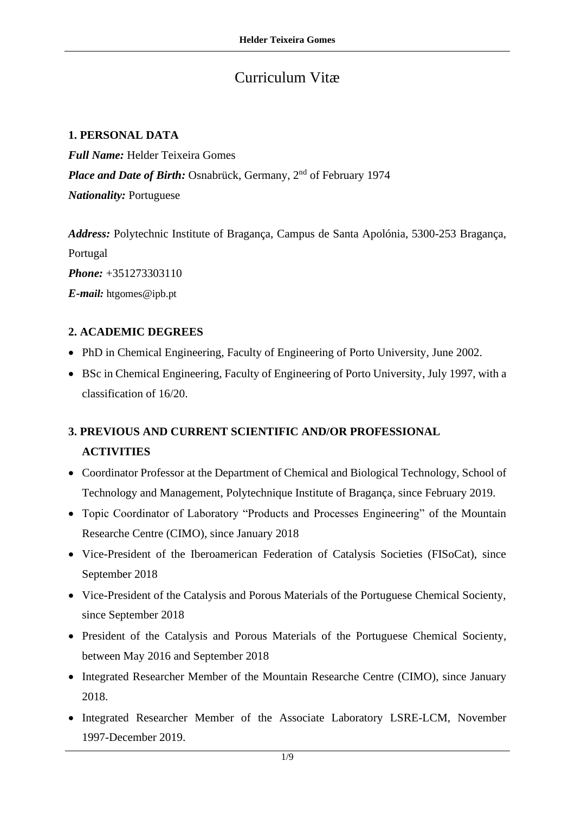# Curriculum Vitæ

#### **1. PERSONAL DATA**

*Full Name:* Helder Teixeira Gomes Place and Date of Birth: Osnabrück, Germany, 2<sup>nd</sup> of February 1974 *Nationality:* Portuguese

*Address:* Polytechnic Institute of Bragança, Campus de Santa Apolónia, 5300-253 Bragança, Portugal *Phone:* +351273303110 *E-mail:* htgomes@ipb.pt

## **2. ACADEMIC DEGREES**

- PhD in Chemical Engineering, Faculty of Engineering of Porto University, June 2002.
- BSc in Chemical Engineering, Faculty of Engineering of Porto University, July 1997, with a classification of 16/20.

## **3. PREVIOUS AND CURRENT SCIENTIFIC AND/OR PROFESSIONAL ACTIVITIES**

- Coordinator Professor at the Department of Chemical and Biological Technology, School of Technology and Management, Polytechnique Institute of Bragança, since February 2019.
- Topic Coordinator of Laboratory "Products and Processes Engineering" of the Mountain Researche Centre (CIMO), since January 2018
- Vice-President of the Iberoamerican Federation of Catalysis Societies (FISoCat), since September 2018
- Vice-President of the Catalysis and Porous Materials of the Portuguese Chemical Socienty, since September 2018
- President of the Catalysis and Porous Materials of the Portuguese Chemical Socienty, between May 2016 and September 2018
- Integrated Researcher Member of the Mountain Researche Centre (CIMO), since January 2018.
- Integrated Researcher Member of the Associate Laboratory LSRE-LCM, November 1997-December 2019.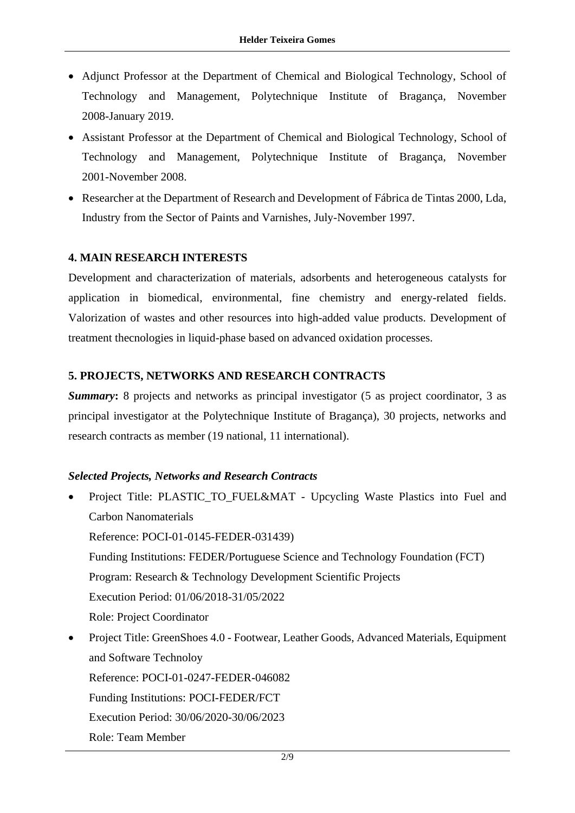- Adjunct Professor at the Department of Chemical and Biological Technology, School of Technology and Management, Polytechnique Institute of Bragança, November 2008-January 2019.
- Assistant Professor at the Department of Chemical and Biological Technology, School of Technology and Management, Polytechnique Institute of Bragança, November 2001-November 2008.
- Researcher at the Department of Research and Development of Fábrica de Tintas 2000, Lda, Industry from the Sector of Paints and Varnishes, July-November 1997.

## **4. MAIN RESEARCH INTERESTS**

Development and characterization of materials, adsorbents and heterogeneous catalysts for application in biomedical, environmental, fine chemistry and energy-related fields. Valorization of wastes and other resources into high-added value products. Development of treatment thecnologies in liquid-phase based on advanced oxidation processes.

#### **5. PROJECTS, NETWORKS AND RESEARCH CONTRACTS**

**Summary:** 8 projects and networks as principal investigator (5 as project coordinator, 3 as principal investigator at the Polytechnique Institute of Bragança), 30 projects, networks and research contracts as member (19 national, 11 international).

#### *Selected Projects, Networks and Research Contracts*

- Project Title: PLASTIC\_TO\_FUEL&MAT Upcycling Waste Plastics into Fuel and Carbon Nanomaterials Reference: POCI-01-0145-FEDER-031439) Funding Institutions: FEDER/Portuguese Science and Technology Foundation (FCT) Program: Research & Technology Development Scientific Projects Execution Period: 01/06/2018-31/05/2022 Role: Project Coordinator
- Project Title: GreenShoes 4.0 Footwear, Leather Goods, Advanced Materials, Equipment and Software Technoloy Reference: POCI-01-0247-FEDER-046082 Funding Institutions: POCI-FEDER/FCT Execution Period: 30/06/2020-30/06/2023 Role: Team Member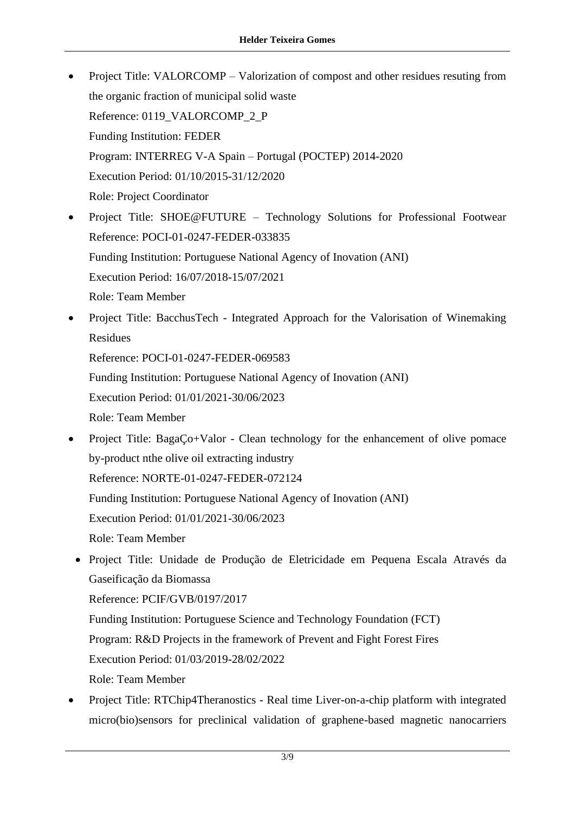- Project Title: VALORCOMP Valorization of compost and other residues resuting from the organic fraction of municipal solid waste Reference: 0119\_VALORCOMP\_2\_P Funding Institution: FEDER Program: INTERREG V-A Spain – Portugal (POCTEP) 2014-2020 Execution Period: 01/10/2015-31/12/2020 Role: Project Coordinator
- Project Title: SHOE@FUTURE Technology Solutions for Professional Footwear Reference: POCI-01-0247-FEDER-033835 Funding Institution: Portuguese National Agency of Inovation (ANI) Execution Period: 16/07/2018-15/07/2021 Role: Team Member
- Project Title: BacchusTech Integrated Approach for the Valorisation of Winemaking Residues

Reference: POCI-01-0247-FEDER-069583

Funding Institution: Portuguese National Agency of Inovation (ANI)

Execution Period: 01/01/2021-30/06/2023

Role: Team Member

• Project Title: BagaÇo+Valor - Clean technology for the enhancement of olive pomace by-product nthe olive oil extracting industry Reference: NORTE-01-0247-FEDER-072124 Funding Institution: Portuguese National Agency of Inovation (ANI) Execution Period: 01/01/2021-30/06/2023

Role: Team Member

• Project Title: Unidade de Produção de Eletricidade em Pequena Escala Através da Gaseificação da Biomassa

Reference: PCIF/GVB/0197/2017

Funding Institution: Portuguese Science and Technology Foundation (FCT) Program: R&D Projects in the framework of Prevent and Fight Forest Fires

Execution Period: 01/03/2019-28/02/2022

Role: Team Member

• Project Title: RTChip4Theranostics - Real time Liver-on-a-chip platform with integrated micro(bio)sensors for preclinical validation of graphene-based magnetic nanocarriers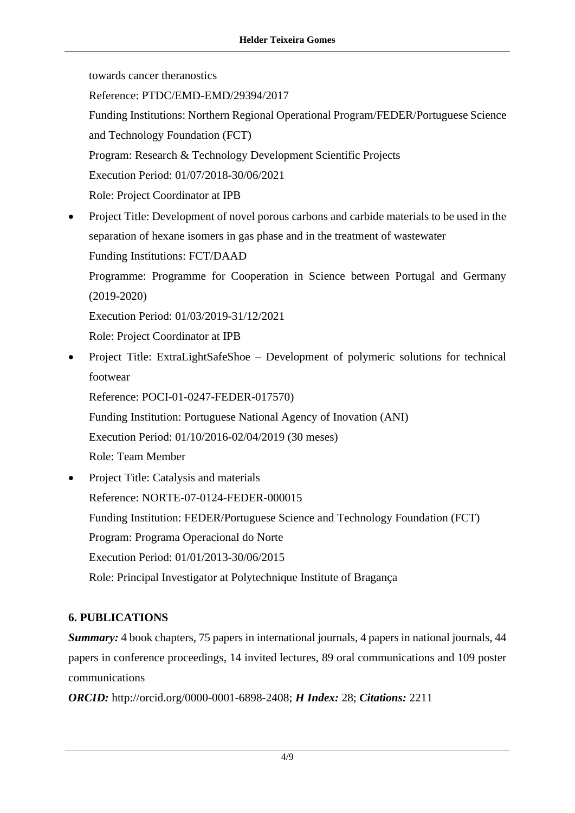towards cancer theranostics Reference: PTDC/EMD-EMD/29394/2017 Funding Institutions: Northern Regional Operational Program/FEDER/Portuguese Science and Technology Foundation (FCT) Program: Research & Technology Development Scientific Projects Execution Period: 01/07/2018-30/06/2021 Role: Project Coordinator at IPB • Project Title: Development of novel porous carbons and carbide materials to be used in the separation of hexane isomers in gas phase and in the treatment of wastewater Funding Institutions: FCT/DAAD Programme: Programme for Cooperation in Science between Portugal and Germany (2019-2020) Execution Period: 01/03/2019-31/12/2021 Role: Project Coordinator at IPB • Project Title: ExtraLightSafeShoe – Development of polymeric solutions for technical footwear

Reference: POCI-01-0247-FEDER-017570) Funding Institution: Portuguese National Agency of Inovation (ANI) Execution Period: 01/10/2016-02/04/2019 (30 meses) Role: Team Member

• Project Title: Catalysis and materials Reference: NORTE-07-0124-FEDER-000015 Funding Institution: FEDER/Portuguese Science and Technology Foundation (FCT) Program: Programa Operacional do Norte Execution Period: 01/01/2013-30/06/2015 Role: Principal Investigator at Polytechnique Institute of Bragança

## **6. PUBLICATIONS**

*Summary:* 4 book chapters, 75 papers in international journals, 4 papers in national journals, 44 papers in conference proceedings, 14 invited lectures, 89 oral communications and 109 poster communications

*ORCID:* http://orcid.org/0000-0001-6898-2408; *H Index:* 28; *Citations:* 2211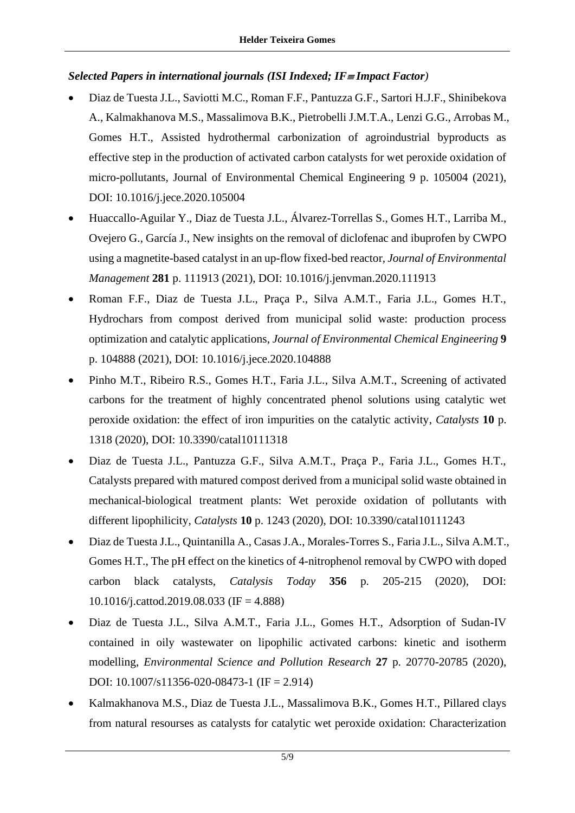#### *Selected Papers in international journals (ISI Indexed; IF Impact Factor)*

- Diaz de Tuesta J.L., Saviotti M.C., Roman F.F., Pantuzza G.F., Sartori H.J.F., Shinibekova A., Kalmakhanova M.S., Massalimova B.K., Pietrobelli J.M.T.A., Lenzi G.G., Arrobas M., Gomes H.T., Assisted hydrothermal carbonization of agroindustrial byproducts as effective step in the production of activated carbon catalysts for wet peroxide oxidation of micro-pollutants, Journal of Environmental Chemical Engineering 9 p. 105004 (2021), DOI: 10.1016/j.jece.2020.105004
- Huaccallo-Aguilar Y., Diaz de Tuesta J.L., Álvarez-Torrellas S., Gomes H.T., Larriba M., Ovejero G., García J., New insights on the removal of diclofenac and ibuprofen by CWPO using a magnetite-based catalyst in an up-flow fixed-bed reactor, *Journal of Environmental Management* **281** p. 111913 (2021), DOI: 10.1016/j.jenvman.2020.111913
- Roman F.F., Diaz de Tuesta J.L., Praça P., Silva A.M.T., Faria J.L., Gomes H.T., Hydrochars from compost derived from municipal solid waste: production process optimization and catalytic applications, *Journal of Environmental Chemical Engineering* **9** p. 104888 (2021), DOI: 10.1016/j.jece.2020.104888
- Pinho M.T., Ribeiro R.S., Gomes H.T., Faria J.L., Silva A.M.T., Screening of activated carbons for the treatment of highly concentrated phenol solutions using catalytic wet peroxide oxidation: the effect of iron impurities on the catalytic activity, *Catalysts* **10** p. 1318 (2020), DOI: 10.3390/catal10111318
- Diaz de Tuesta J.L., Pantuzza G.F., Silva A.M.T., Praça P., Faria J.L., Gomes H.T., Catalysts prepared with matured compost derived from a municipal solid waste obtained in mechanical-biological treatment plants: Wet peroxide oxidation of pollutants with different lipophilicity, *Catalysts* **10** p. 1243 (2020), DOI: 10.3390/catal10111243
- Diaz de Tuesta J.L., Quintanilla A., Casas J.A., Morales-Torres S., Faria J.L., Silva A.M.T., Gomes H.T., The pH effect on the kinetics of 4-nitrophenol removal by CWPO with doped carbon black catalysts, *Catalysis Today* **356** p. 205-215 (2020), DOI: 10.1016/j.cattod.2019.08.033 (IF = 4.888)
- Diaz de Tuesta J.L., Silva A.M.T., Faria J.L., Gomes H.T., Adsorption of Sudan-IV contained in oily wastewater on lipophilic activated carbons: kinetic and isotherm modelling, *Environmental Science and Pollution Research* **27** p. 20770-20785 (2020), DOI: 10.1007/s11356-020-08473-1 (IF = 2.914)
- Kalmakhanova M.S., Diaz de Tuesta J.L., Massalimova B.K., Gomes H.T., Pillared clays from natural resourses as catalysts for catalytic wet peroxide oxidation: Characterization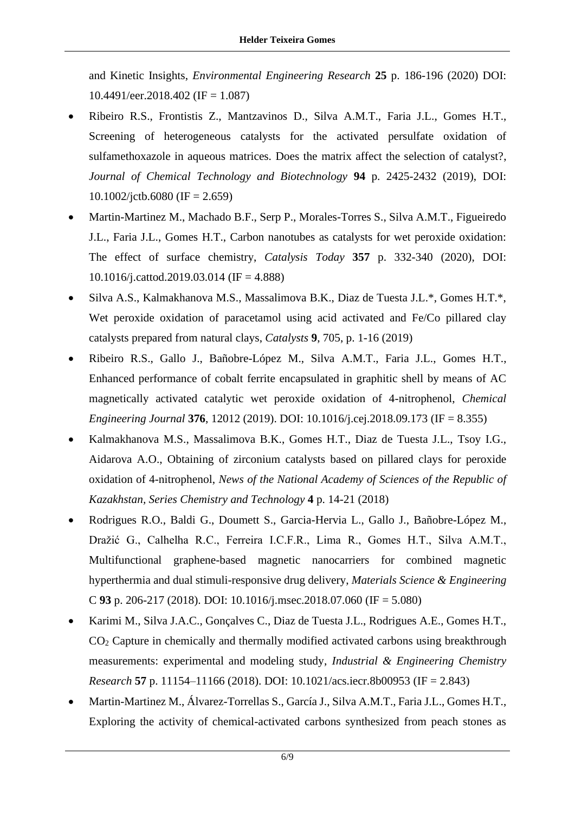and Kinetic Insights, *Environmental Engineering Research* **25** p. 186-196 (2020) DOI:  $10.4491/$ eer.2018.402 (IF = 1.087)

- Ribeiro R.S., Frontistis Z., Mantzavinos D., Silva A.M.T., Faria J.L., Gomes H.T., Screening of heterogeneous catalysts for the activated persulfate oxidation of sulfamethoxazole in aqueous matrices. Does the matrix affect the selection of catalyst?, *Journal of Chemical Technology and Biotechnology* **94** p. 2425-2432 (2019), DOI:  $10.1002$ /jctb.6080 (IF = 2.659)
- Martin-Martinez M., Machado B.F., Serp P., Morales-Torres S., Silva A.M.T., Figueiredo J.L., Faria J.L., Gomes H.T., Carbon nanotubes as catalysts for wet peroxide oxidation: The effect of surface chemistry, *Catalysis Today* **357** p. 332-340 (2020), DOI: 10.1016/j.cattod.2019.03.014 (IF = 4.888)
- Silva A.S., Kalmakhanova M.S., Massalimova B.K., Diaz de Tuesta J.L.\*, Gomes H.T.\*, Wet peroxide oxidation of paracetamol using acid activated and Fe/Co pillared clay catalysts prepared from natural clays, *Catalysts* **9**, 705, p. 1-16 (2019)
- Ribeiro R.S., Gallo J., Bañobre-López M., Silva A.M.T., Faria J.L., Gomes H.T., Enhanced performance of cobalt ferrite encapsulated in graphitic shell by means of AC magnetically activated catalytic wet peroxide oxidation of 4-nitrophenol, *Chemical Engineering Journal* **376**, 12012 (2019). DOI: 10.1016/j.cej.2018.09.173 (IF = 8.355)
- Kalmakhanova M.S., Massalimova B.K., Gomes H.T., Diaz de Tuesta J.L., Tsoy I.G., Aidarova A.O., Obtaining of zirconium catalysts based on pillared clays for peroxide oxidation of 4-nitrophenol, *News of the National Academy of Sciences of the Republic of Kazakhstan, Series Chemistry and Technology* **4** p. 14-21 (2018)
- Rodrigues R.O., Baldi G., Doumett S., Garcia-Hervia L., Gallo J., Bañobre-López M., Dražić G., Calhelha R.C., Ferreira I.C.F.R., Lima R., Gomes H.T., Silva A.M.T., Multifunctional graphene-based magnetic nanocarriers for combined magnetic hyperthermia and dual stimuli-responsive drug delivery, *Materials Science & Engineering* C **93** p. 206-217 (2018). DOI: 10.1016/j.msec.2018.07.060 (IF = 5.080)
- Karimi M., Silva J.A.C., Gonçalves C., Diaz de Tuesta J.L., Rodrigues A.E., Gomes H.T., CO<sup>2</sup> Capture in chemically and thermally modified activated carbons using breakthrough measurements: experimental and modeling study, *Industrial & Engineering Chemistry Research* **57** p. 11154–11166 (2018). DOI: 10.1021/acs.iecr.8b00953 (IF = 2.843)
- Martin-Martinez M., Álvarez-Torrellas S., García J., Silva A.M.T., Faria J.L., Gomes H.T., Exploring the activity of chemical-activated carbons synthesized from peach stones as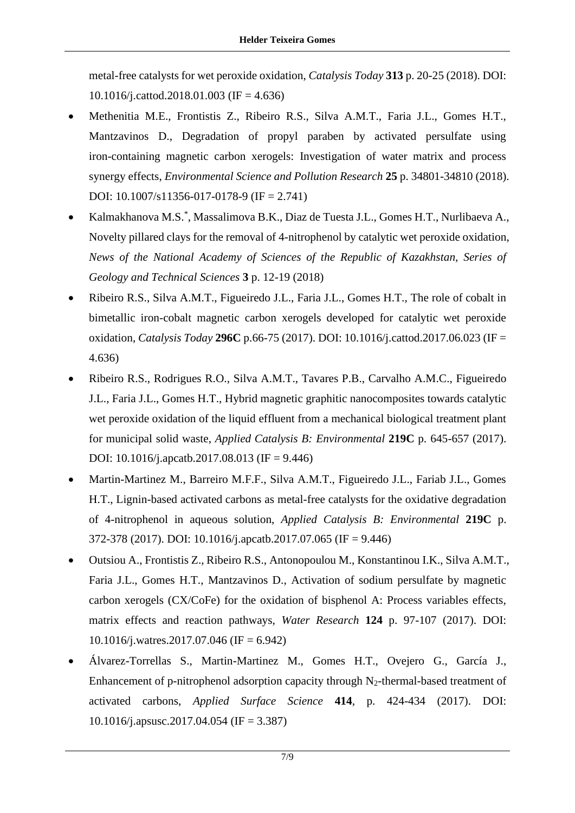metal-free catalysts for wet peroxide oxidation, *Catalysis Today* **313** p. 20-25 (2018). DOI: 10.1016/j.cattod.2018.01.003 (IF = 4.636)

- Methenitia M.E., Frontistis Z., Ribeiro R.S., Silva A.M.T., Faria J.L., Gomes H.T., Mantzavinos D., Degradation of propyl paraben by activated persulfate using iron-containing magnetic carbon xerogels: Investigation of water matrix and process synergy effects, *Environmental Science and Pollution Research* **25** p. 34801-34810 (2018). DOI: 10.1007/s11356-017-0178-9 (IF = 2.741)
- Kalmakhanova M.S.\* , Massalimova B.K., Diaz de Tuesta J.L., Gomes H.T., Nurlibaeva A., Novelty pillared clays for the removal of 4-nitrophenol by catalytic wet peroxide oxidation, *News of the National Academy of Sciences of the Republic of Kazakhstan, Series of Geology and Technical Sciences* **3** p. 12-19 (2018)
- Ribeiro R.S., Silva A.M.T., Figueiredo J.L., Faria J.L., Gomes H.T., The role of cobalt in bimetallic iron-cobalt magnetic carbon xerogels developed for catalytic wet peroxide oxidation, *Catalysis Today* **296C** p.66-75 (2017). DOI: 10.1016/j.cattod.2017.06.023 (IF = 4.636)
- Ribeiro R.S., Rodrigues R.O., Silva A.M.T., Tavares P.B., Carvalho A.M.C., Figueiredo J.L., Faria J.L., Gomes H.T., Hybrid magnetic graphitic nanocomposites towards catalytic wet peroxide oxidation of the liquid effluent from a mechanical biological treatment plant for municipal solid waste, *Applied Catalysis B: Environmental* **219C** p. 645-657 (2017). DOI: 10.1016/j.apcatb.2017.08.013 (IF = 9.446)
- Martin-Martinez M., Barreiro M.F.F., Silva A.M.T., Figueiredo J.L., Fariab J.L., Gomes H.T., Lignin-based activated carbons as metal-free catalysts for the oxidative degradation of 4-nitrophenol in aqueous solution, *Applied Catalysis B: Environmental* **219C** p. 372-378 (2017). DOI: 10.1016/j.apcatb.2017.07.065 (IF = 9.446)
- Outsiou A., Frontistis Z., Ribeiro R.S., Antonopoulou M., Konstantinou I.K., Silva A.M.T., Faria J.L., Gomes H.T., Mantzavinos D., Activation of sodium persulfate by magnetic carbon xerogels (CX/CoFe) for the oxidation of bisphenol A: Process variables effects, matrix effects and reaction pathways, *Water Research* **124** p. 97-107 (2017). DOI:  $10.1016$ /j.watres.2017.07.046 (IF = 6.942)
- Álvarez-Torrellas S., Martin-Martinez M., Gomes H.T., Ovejero G., García J., Enhancement of p-nitrophenol adsorption capacity through  $N_2$ -thermal-based treatment of activated carbons, *Applied Surface Science* **414**, p. 424-434 (2017). DOI: 10.1016/j.apsusc.2017.04.054 (IF = 3.387)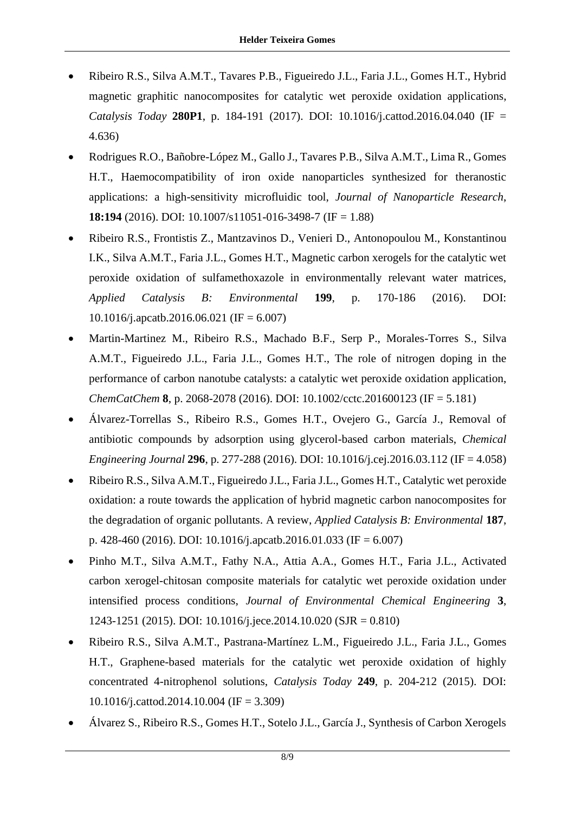- Ribeiro R.S., Silva A.M.T., Tavares P.B., Figueiredo J.L., Faria J.L., Gomes H.T., Hybrid magnetic graphitic nanocomposites for catalytic wet peroxide oxidation applications, *Catalysis Today* **280P1**, p. 184-191 (2017). DOI: 10.1016/j.cattod.2016.04.040 (IF = 4.636)
- Rodrigues R.O., Bañobre-López M., Gallo J., Tavares P.B., Silva A.M.T., Lima R., Gomes H.T., Haemocompatibility of iron oxide nanoparticles synthesized for theranostic applications: a high-sensitivity microfluidic tool, *Journal of Nanoparticle Research*, **18:194** (2016). DOI: 10.1007/s11051-016-3498-7 (IF = 1.88)
- Ribeiro R.S., Frontistis Z., Mantzavinos D., Venieri D., Antonopoulou M., Konstantinou I.K., Silva A.M.T., Faria J.L., Gomes H.T., Magnetic carbon xerogels for the catalytic wet peroxide oxidation of sulfamethoxazole in environmentally relevant water matrices, *Applied Catalysis B: Environmental* **199**, p. 170-186 (2016). DOI: 10.1016/j.apcatb.2016.06.021 (IF = 6.007)
- Martin-Martinez M., Ribeiro R.S., Machado B.F., Serp P., Morales-Torres S., Silva A.M.T., Figueiredo J.L., Faria J.L., Gomes H.T., The role of nitrogen doping in the performance of carbon nanotube catalysts: a catalytic wet peroxide oxidation application, *ChemCatChem* **8**, p. 2068-2078 (2016). DOI: 10.1002/cctc.201600123 (IF = 5.181)
- Álvarez-Torrellas S., Ribeiro R.S., Gomes H.T., Ovejero G., García J., Removal of antibiotic compounds by adsorption using glycerol-based carbon materials, *Chemical Engineering Journal* **296**, p. 277-288 (2016). DOI: 10.1016/j.cej.2016.03.112 (IF = 4.058)
- Ribeiro R.S., Silva A.M.T., Figueiredo J.L., Faria J.L., Gomes H.T., Catalytic wet peroxide oxidation: a route towards the application of hybrid magnetic carbon nanocomposites for the degradation of organic pollutants. A review, *Applied Catalysis B: Environmental* **187**, p. 428-460 (2016). DOI: 10.1016/j.apcatb.2016.01.033 (IF = 6.007)
- Pinho M.T., Silva A.M.T., Fathy N.A., Attia A.A., Gomes H.T., Faria J.L., Activated carbon xerogel-chitosan composite materials for catalytic wet peroxide oxidation under intensified process conditions, *Journal of Environmental Chemical Engineering* **3**, 1243-1251 (2015). DOI: 10.1016/j.jece.2014.10.020 (SJR = 0.810)
- Ribeiro R.S., Silva A.M.T., Pastrana-Martínez L.M., Figueiredo J.L., Faria J.L., Gomes H.T., Graphene-based materials for the catalytic wet peroxide oxidation of highly concentrated 4-nitrophenol solutions, *Catalysis Today* **249**, p. 204-212 (2015). DOI: 10.1016/j.cattod.2014.10.004 (IF = 3.309)
- Álvarez S., Ribeiro R.S., Gomes H.T., Sotelo J.L., García J., Synthesis of Carbon Xerogels